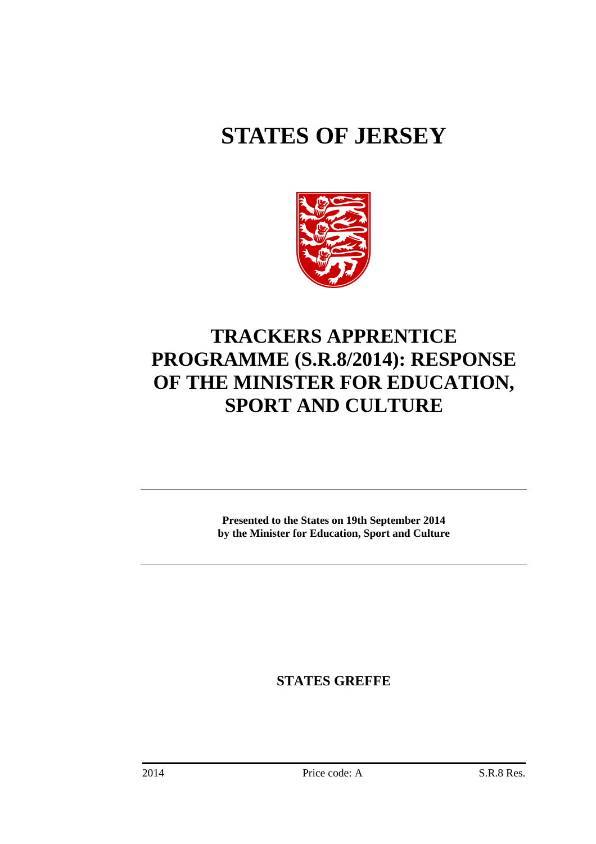# **STATES OF JERSEY**



## **TRACKERS APPRENTICE PROGRAMME (S.R.8/2014): RESPONSE OF THE MINISTER FOR EDUCATION, SPORT AND CULTURE**

**Presented to the States on 19th September 2014 by the Minister for Education, Sport and Culture** 

**STATES GREFFE**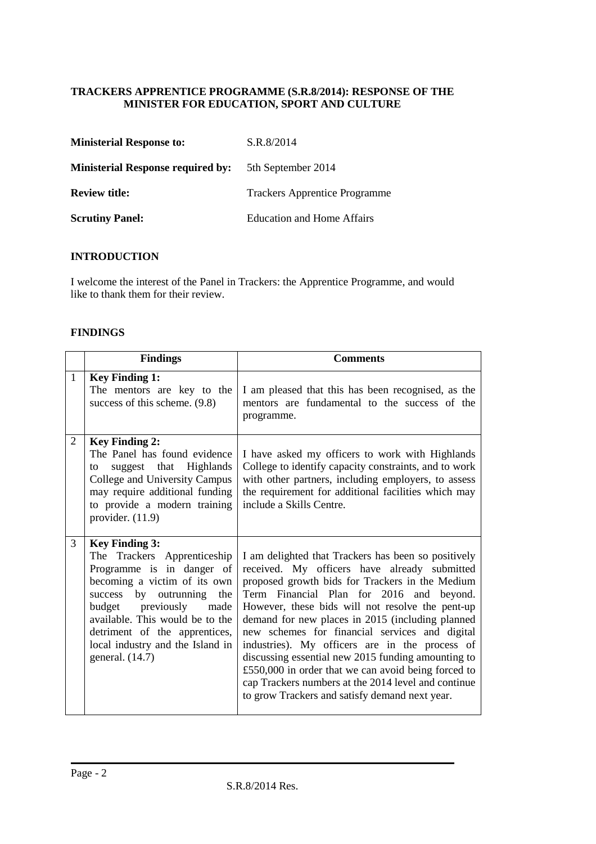### **TRACKERS APPRENTICE PROGRAMME (S.R.8/2014): RESPONSE OF THE MINISTER FOR EDUCATION, SPORT AND CULTURE**

| <b>Ministerial Response to:</b>          | S.R.8/2014                           |
|------------------------------------------|--------------------------------------|
| <b>Ministerial Response required by:</b> | 5th September 2014                   |
| <b>Review title:</b>                     | <b>Trackers Apprentice Programme</b> |
| <b>Scrutiny Panel:</b>                   | Education and Home Affairs           |

#### **INTRODUCTION**

I welcome the interest of the Panel in Trackers: the Apprentice Programme, and would like to thank them for their review.

#### **FINDINGS**

|              | <b>Findings</b>                                                                                                                                                                                                                                                                                                 | <b>Comments</b>                                                                                                                                                                                                                                                                                                                                                                                                                                                                                                                                                                                                                      |  |  |
|--------------|-----------------------------------------------------------------------------------------------------------------------------------------------------------------------------------------------------------------------------------------------------------------------------------------------------------------|--------------------------------------------------------------------------------------------------------------------------------------------------------------------------------------------------------------------------------------------------------------------------------------------------------------------------------------------------------------------------------------------------------------------------------------------------------------------------------------------------------------------------------------------------------------------------------------------------------------------------------------|--|--|
| $\mathbf{1}$ | <b>Key Finding 1:</b><br>The mentors are key to the<br>success of this scheme. (9.8)                                                                                                                                                                                                                            | I am pleased that this has been recognised, as the<br>mentors are fundamental to the success of the<br>programme.                                                                                                                                                                                                                                                                                                                                                                                                                                                                                                                    |  |  |
| 2            | <b>Key Finding 2:</b><br>The Panel has found evidence<br>suggest that Highlands<br>to<br>College and University Campus<br>may require additional funding<br>to provide a modern training<br>provider. $(11.9)$                                                                                                  | I have asked my officers to work with Highlands<br>College to identify capacity constraints, and to work<br>with other partners, including employers, to assess<br>the requirement for additional facilities which may<br>include a Skills Centre.                                                                                                                                                                                                                                                                                                                                                                                   |  |  |
| 3            | <b>Key Finding 3:</b><br>Trackers Apprenticeship<br>The<br>Programme is in danger of<br>becoming a victim of its own<br>by outrunning<br>success<br>the<br>budget previously<br>made<br>available. This would be to the<br>detriment of the apprentices,<br>local industry and the Island in<br>general. (14.7) | I am delighted that Trackers has been so positively<br>received. My officers have already submitted<br>proposed growth bids for Trackers in the Medium<br>Term Financial Plan for 2016 and beyond.<br>However, these bids will not resolve the pent-up<br>demand for new places in 2015 (including planned<br>new schemes for financial services and digital<br>industries). My officers are in the process of<br>discussing essential new 2015 funding amounting to<br>£550,000 in order that we can avoid being forced to<br>cap Trackers numbers at the 2014 level and continue<br>to grow Trackers and satisfy demand next year. |  |  |